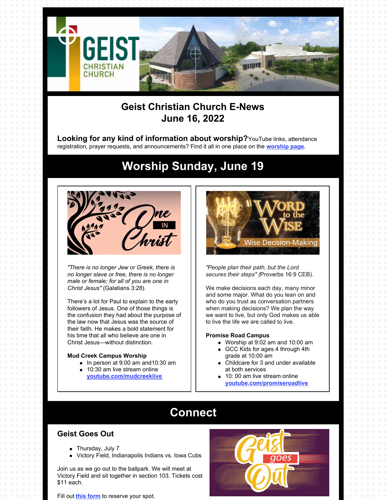

# **Geist Christian Church E-News June 16, 2022**

**Looking for any kind of information about worship?**YouTube links, attendance registration, prayer requests, and announcements? Find it all in one place on the **[worship](https://geistchristian.org/worship-at-geist-christian-church/) page**.

**Worship Sunday, June 19**

*"There is no longer Jew or Greek, there is no longer slave or free, there is no longer male or female; for all of you are one in Christ Jesus"* (Galatians 3:28).

There's a lot for Paul to explain to the early followers of Jesus. One of those things is the confusion they had about the purpose of the law now that Jesus was the source of their faith. He makes a bold statement for his time that all who believe are one in Christ Jesus—without distinction.

#### **Mud Creek Campus Worship**

- In person at 9:00 am and10:30 am
- 10:30 am live stream online
	- **[youtube.com/mudcreeklive](https://www.youtube.com/mudcreeklive)**



*"People plan their path, but the Lord secures their steps" (*Proverbs 16:9 CEB).

We make decisions each day, many minor and some major. What do you lean on and who do you trust as conversation partners when making decisions? We plan the way we want to live, but only God makes us able to live the life we are called to live.

#### **Promise Road Campus**

- Worship at 9:02 am and 10:00 am
- GCC Kids for ages 4 through 4th grade at 10:00 am
- Childcare for 3 and under available at both services
- 10: 00 am live stream online **[youtube.com/promiseroadlive](http://youtube.com/promiseroadlive)**

# **Connect**

#### **Geist Goes Out**

- Thursday, July 7
- Victory Field, Indianapolis Indians vs. Iowa Cubs

Join us as we go out to the ballpark. We will meet at Victory Field and sit together in section 103. Tickets cost \$11 each.

Fill out **this [form](https://docs.google.com/forms/d/e/1FAIpQLSdHTpI_Vm5xOfxR0TObJB0ZQsDJ62cZD8w7sz0xZqRliTYHgg/viewform?usp=sf_link)** to reserve your spot.

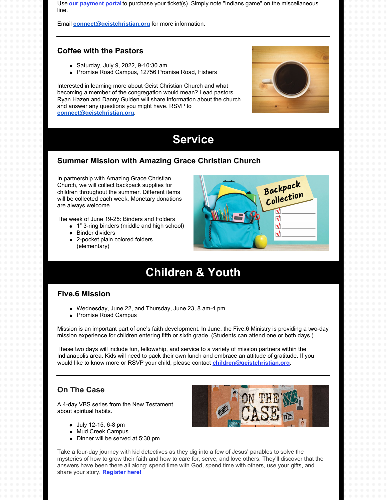Use **our [payment](https://www.eservicepayments.com/cgi-bin/Vanco_ver3.vps?appver3=wWsk24ZWJSTZKsGd1RMKlg0BDvsSG3VIWQCPJNNxD8upkiY7JlDavDsozUE7KG0nFx2NSo8LdUKGuGuF396vbZ5UQKRsPBi1g0XqATBcik4iYnTg5dP4O6rpX5QvPEWlBhHDN59kLZFffwKfYERpQhzatKxiy3bc4Xumz99m2Rc=&ver=3) portal** to purchase your ticket(s). Simply note "Indians game" on the miscellaneous line.

Email **[connect@geistchristian.org](mailto:connect@geistchristian.org)** for more information.

#### **Coffee with the Pastors**

- Saturday, July 9, 2022, 9-10:30 am
- Promise Road Campus, 12756 Promise Road, Fishers

Interested in learning more about Geist Christian Church and what becoming a member of the congregation would mean? Lead pastors Ryan Hazen and Danny Gulden will share information about the church and answer any questions you might have. RSVP to **[connect@geistchristian.org](mailto:connect@geistchristian.org)**.



# **Service**

#### **Summer Mission with Amazing Grace Christian Church**

In partnership with Amazing Grace Christian Church, we will collect backpack supplies for children throughout the summer. Different items will be collected each week. Monetary donations are always welcome.

The week of June 19-25: Binders and Folders

- 1" 3-ring binders (middle and high school)
- **•** Binder dividers
- 2-pocket plain colored folders (elementary)



# **Children & Youth**

#### **Five.6 Mission**

- Wednesday, June 22, and Thursday, June 23, 8 am-4 pm
- Promise Road Campus

Mission is an important part of one's faith development. In June, the Five.6 Ministry is providing a two-day mission experience for children entering fifth or sixth grade. (Students can attend one or both days.)

These two days will include fun, fellowship, and service to a variety of mission partners within the Indianapolis area. Kids will need to pack their own lunch and embrace an attitude of gratitude. If you would like to know more or RSVP your child, please contact **[children@geistchristian.org](mailto:children@geistchristian.org)**.

### **On The Case**

A 4-day VBS series from the New Testament about spiritual habits.

- July 12-15, 6-8 pm
- Mud Creek Campus
- Dinner will be served at 5:30 pm



Take a four-day journey with kid detectives as they dig into a few of Jesus' parables to solve the mysteries of how to grow their faith and how to care for, serve, and love others. They'll discover that the answers have been there all along: spend time with God, spend time with others, use your gifts, and share your story. **[Register](https://forms.office.com/r/C5pWHP5YNP) here!**